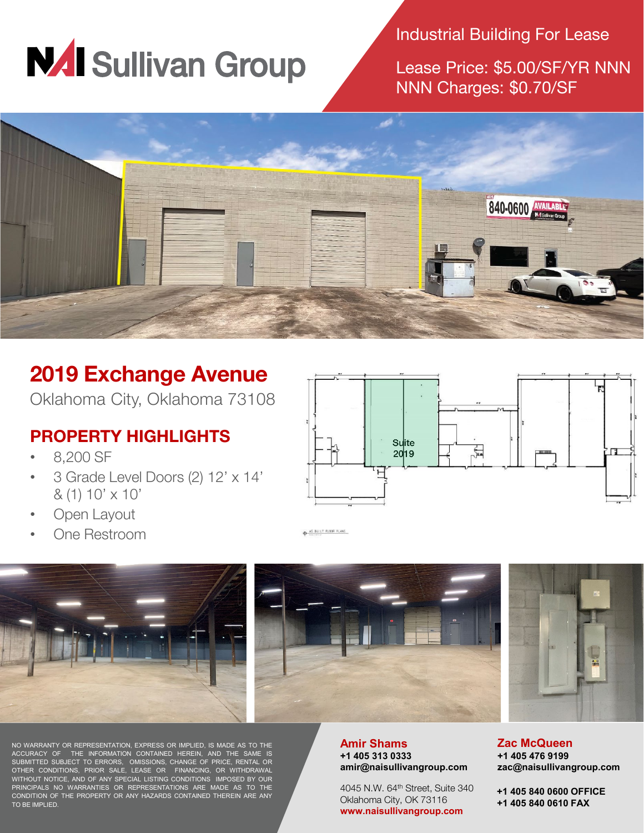

Industrial Building For Lease

Lease Price: \$5.00/SF/YR NNN NNN Charges: \$0.70/SF



## **2019 Exchange Avenue**

Oklahoma City, Oklahoma 73108

## **PROPERTY HIGHLIGHTS**

- 8,200 SF
- 3 Grade Level Doors (2) 12' x 14' & (1) 10' x 10'
- Open Layout
- One Restroom



AS BUILT FLOOR PLANS







NO WARRANTY OR REPRESENTATION, EXPRESS OR IMPLIED, IS MADE AS TO THE ACCURACY OF THE INFORMATION CONTAINED HEREIN, AND THE SAME IS SUBMITTED SUBJECT TO ERRORS, OMISSIONS, CHANGE OF PRICE, RENTAL OR OTHER CONDITIONS, PRIOR SALE, LEASE OR FINANCING, OR WITHDRAWAL WITHOUT NOTICE, AND OF ANY SPECIAL LISTING CONDITIONS IMPOSED BY OUR PRINCIPALS NO WARRANTIES OR REPRESENTATIONS ARE MADE AS TO THE CONDITION OF THE PROPERTY OR ANY HAZARDS CONTAINED THEREIN ARE ANY TO BE IMPLIED.

#### **Amir Shams +1 405 313 0333 amir@naisullivangroup.com**

4045 N.W. 64<sup>th</sup> Street, Suite 340 Oklahoma City, OK 73116 **www.naisullivangroup.com**

**Zac McQueen +1 405 476 9199 zac@naisullivangroup.com**

**+1 405 840 0600 OFFICE +1 405 840 0610 FAX**